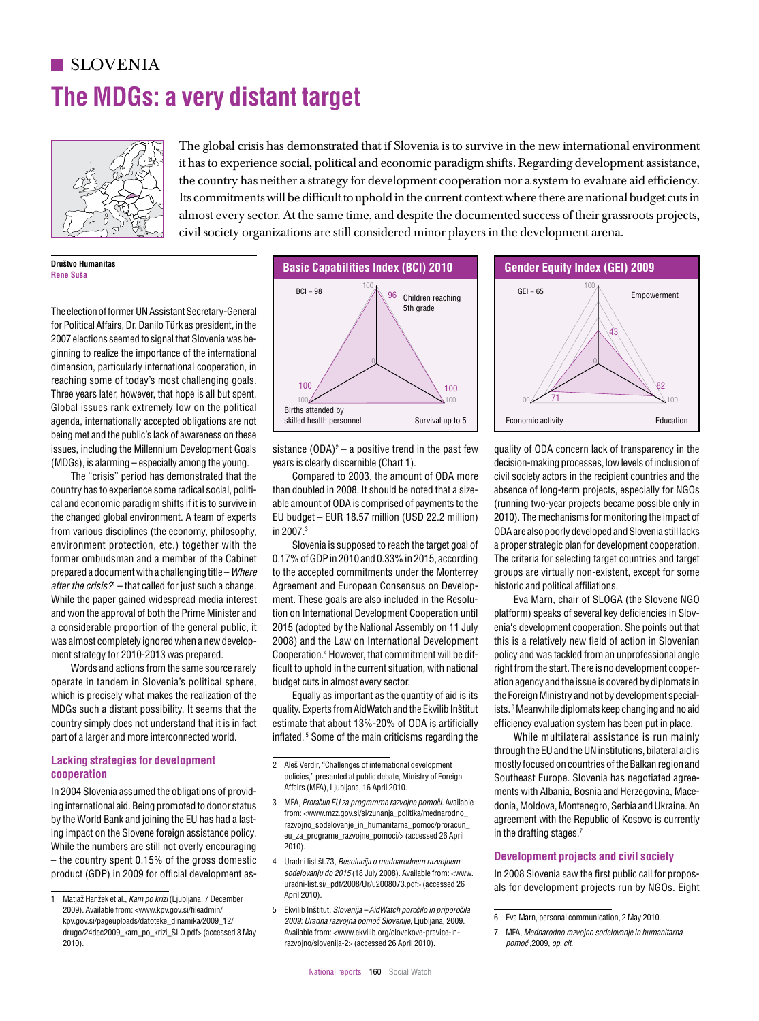# **The MDGs: a very distant target SLOVENIA**



The global crisis has demonstrated that if Slovenia is to survive in the new international environment it has to experience social, political and economic paradigm shifts. Regarding development assistance, the country has neither a strategy for development cooperation nor a system to evaluate aid efficiency. Its commitments will be difficult to uphold in the current context where there are national budget cuts in almost every sector. At the same time, and despite the documented success of their grassroots projects, civil society organizations are still considered minor players in the development arena.  $B_{\rm eff}$  of  $B_{\rm eff}$  of  $B_{\rm eff}$  of  $B_{\rm eff}$  of  $B_{\rm eff}$  of  $B_{\rm eff}$  of  $B_{\rm eff}$  of  $B_{\rm eff}$  of  $B_{\rm eff}$  of  $B_{\rm eff}$  of  $B_{\rm eff}$  of  $B_{\rm eff}$ 

**Društvo Humanitas Rene Suša**

The election of former UN Assistant Secretary-General for Political Affairs, Dr. Danilo Türk as president, in the 2007 elections seemed to signal that Slovenia was beginning to realize the importance of the international dimension, particularly international cooperation, in 0 reaching some of today's most challenging goals. Three years later, however, that hope is all but spent. Global issues rank extremely low on the political 69 agenda, internationally accepted obligations are not being met and the public's lack of awareness on these issues, including the Millennium Development Goals (MDGs), is alarming – especially among the young. publics lack of awarefless on these<br>the Millennium Development Goals sistance (ODA)? — a positive trend in the past few quality of ODA concern lack of trans

 $\overline{\phantom{0}}$ 

The "crisis" period has demonstrated that the country has to experience some radical social, political and economic paradigm shifts if it is to survive in the changed global environment. A team of experts from various disciplines (the economy, philosophy, environment protection, etc.) together with the former ombudsman and a member of the Cabinet prepared a document with a challenging title – *Where*  a*fter the crisis?*" – that called for just such a change. and the bridge. That called the jack calculation and sharing. and won the approval of both the Prime Minister and a considerable proportion of the general public, it was almost completely ignored when a new develop-100 100 ment strategy for 2010-2013 was prepared. 5

Words and actions from the same source rarely words and actions nonranc stands source rarbly and to aphold in the carrent shadily<br>operate in tandem in Slovenia's political sphere, budget cuts in almost every sector. which is precisely what makes the realization of the MDGs such a distant possibility. It seems that the country simply does not understand that it is in fact part of a larger and more interconnected world.

## **Lacking strategies for development**  100 **cooperation**

In 2004 Slovenia assumed the obligations of providing international aid. Being promoted to donor status by the World Bank and joining the EU has had a lasting impact on the Slovene foreign assistance policy. 0 While the numbers are still not overly encouraging - the country spent 0.15% of the gross domestic 4 Uradnillist \$t.73, Resolucija o mednarodnem razvo product (GDP) in 2009 for official development as-



years is clearly discernible (Chart 1).

Compared to 2003, the amount of ODA more than doubled in 2008. It should be noted that a sizeable amount of ODA is comprised of payments to the EU budget - EUR 18.57 million (USD 22.2 million) in 2007.3

Slovenia is supposed to reach the target goal of 0.17% of GDP in 2010 and 0.33% in 2015, according to the accepted commitments under the Monterrey Agreement and European Consensus on Development. These goals are also included in the Resolution on International Development Cooperation until 2015 (adopted by the National Assembly on 11 July 2008) and the Law on International Development Cooperation.4 However, that commitment will be difficult to uphold in the current situation, with national budget cuts in almost every sector.

Equally as important as the quantity of aid is its quality. Experts from AidWatch and the Ekvilib Inštitut estimate that about 13%-20% of ODA is artificially inflated. 5 Some of the main criticisms regarding the

- 2 Aleš Verdir, "Challenges of international development 100 policies," presented at public debate, Ministry of Foreign Affairs (MFA), Ljubljana, 16 April 2010.
- 3 MFA, *Proračun EU za programme razvojne pomoči.* Available from: <www.mzz.gov.si/si/zunanja\_politika/mednarodno\_ razvojno\_sodelovanje\_in\_humanitarna\_pomoc/proracun eu\_za\_programe\_razvojne\_pomoci/> (accessed 26 April 2010).
- 4 Uradni list št.73, *Resolucija o mednarodnem razvojnem*  sodelovanju do 2015 (18 July 2008). Available from: <www. uradni-list.si/\_pdf/2008/Ur/u2008073.pdf> (accessed 26 April 2010).
- 5 Ekvilib Inštitut, *Slovenija AidWatch poroˇcilo in priporoˇcila*  Available from: <www.ekvilib.org/clovekove-pravice-inrazvojno/slovenija-2> (accessed 26 April 2010).



 $\lambda$ )<sup>2</sup> – a positive trend in the past few  $\hskip 4mm$  quality of ODA concern lack of transparency in the decision-making processes, low levels of inclusion of civil society actors in the recipient countries and the absence of long-term projects, especially for NGOs (running two-year projects became possible only in 2010). The mechanisms for monitoring the impact of ODA are also poorly developed and Slovenia still lacks a proper strategic plan for development cooperation. The criteria for selecting target countries and target groups are virtually non-existent, except for some historic and political affiliations. 26

> Eva Marn, chair of SLOGA (the Slovene NGO 0 platform) speaks of several key deficiencies in Slovenia's development cooperation. She points out that this is a relatively new field of action in Slovenian policy and was tackled from an unprofessional angle right from the start. There is no development cooperation agency and the issue is covered by diplomats in the Foreign Ministry and not by development specialists. 6 Meanwhile diplomats keep changing and no aid efficiency evaluation system has been put in place.

> While multilateral assistance is run mainly through the EU and the UN institutions, bilateral aid is mostly focused on countries of the Balkan region and Southeast Europe. Slovenia has negotiated agreements with Albania, Bosnia and Herzegovina, Macedonia, Moldova, Montenegro, Serbia and Ukraine. An agreement with the Republic of Kosovo is currently in the drafting stages.7 n/d n/d

## **Development projects and civil society**

In 2008 Slovenia saw the first public call for proposals for development projects run by NGOs. Eight

<sup>1</sup> Matjaž Hanžek et al., *Kam po krizi* (Ljubljana, 7 December 2009). Available from: <www.kpv.gov.si/fileadmin/ kpv.gov.si/pageuploads/datoteke\_dinamika/2009\_12/ drugo/24dec2009\_kam\_po\_krizi\_SLO.pdf> (accessed 3 May 2010). 2009: Extrinu rasitati, *Divenija – Hurvatch poročno in priporočn*<br>2009: *Uradna razvojna pomoč Slovenije*, Ljubljana, 2009. uradna razvojna pomoč *Slovenije*, Ljubljana, 2009.

<sup>6</sup> Eva Marn, personal communication, 2 May 2010.

<sup>7</sup> MFA, *Mednarodno razvojno sodelovanje in humanitarna pomoˇc* ,2009, *op. cit*.